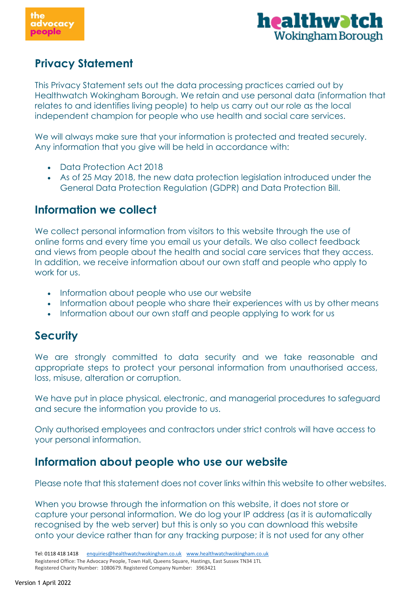

# **Privacy Statement**

This Privacy Statement sets out the data processing practices carried out by Healthwatch Wokingham Borough. We retain and use personal data (information that relates to and identifies living people) to help us carry out our role as the local independent champion for people who use health and social care services.

We will always make sure that your information is protected and treated securely. Any information that you give will be held in accordance with:

- Data Protection Act 2018
- As of 25 May 2018, the new data protection legislation introduced under the General Data Protection Regulation (GDPR) and Data Protection Bill.

## **Information we collect**

We collect personal information from visitors to this website through the use of online forms and every time you email us your details. We also collect feedback and views from people about the health and social care services that they access. In addition, we receive information about our own staff and people who apply to work for us.

- Information about people who use our website
- Information about people who share their experiences with us by other means
- Information about our own staff and people applying to work for us

# **Security**

We are strongly committed to data security and we take reasonable and appropriate steps to protect your personal information from unauthorised access, loss, misuse, alteration or corruption.

We have put in place physical, electronic, and managerial procedures to safeguard and secure the information you provide to us.

Only authorised employees and contractors under strict controls will have access to your personal information.

#### **Information about people who use our website**

Please note that this statement does not cover links within this website to other websites.

When you browse through the information on this website, it does not store or capture your personal information. We do log your IP address (as it is automatically recognised by the web server) but this is only so you can download this website onto your device rather than for any tracking purpose; it is not used for any other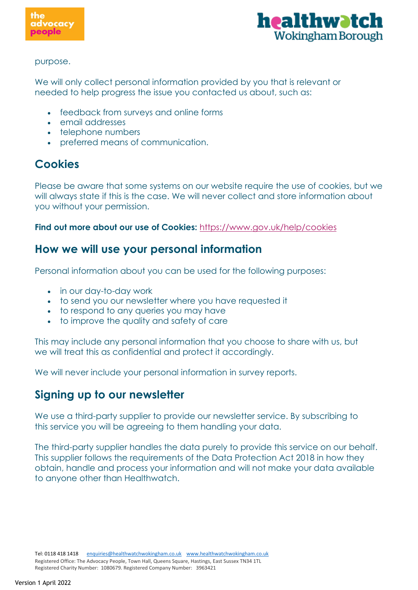



purpose.

We will only collect personal information provided by you that is relevant or needed to help progress the issue you contacted us about, such as:

- feedback from surveys and online forms
- email addresses
- telephone numbers
- preferred means of communication.

#### **Cookies**

Please be aware that some systems on our website require the use of cookies, but we will always state if this is the case. We will never collect and store information about you without your permission.

#### **Find out more about our use of Cookies:** <https://www.gov.uk/help/cookies>

#### **How we will use your personal information**

Personal information about you can be used for the following purposes:

- in our day-to-day work
- to send you our newsletter where you have requested it
- to respond to any queries you may have
- to improve the quality and safety of care

This may include any personal information that you choose to share with us, but we will treat this as confidential and protect it accordingly.

We will never include your personal information in survey reports.

#### **Signing up to our newsletter**

We use a third-party supplier to provide our newsletter service. By subscribing to this service you will be agreeing to them handling your data.

The third-party supplier handles the data purely to provide this service on our behalf. This supplier follows the requirements of the Data Protection Act 2018 in how they obtain, handle and process your information and will not make your data available to anyone other than Healthwatch.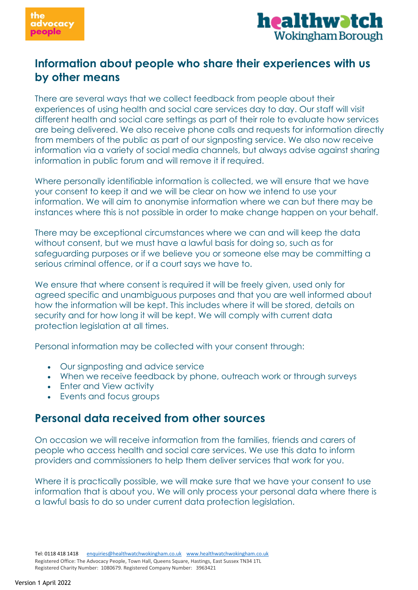

# **Information about people who share their experiences with us by other means**

There are several ways that we collect feedback from people about their experiences of using health and social care services day to day. Our staff will visit different health and social care settings as part of their role to evaluate how services are being delivered. We also receive phone calls and requests for information directly from members of the public as part of our signposting service. We also now receive information via a variety of social media channels, but always advise against sharing information in public forum and will remove it if required.

Where personally identifiable information is collected, we will ensure that we have your consent to keep it and we will be clear on how we intend to use your information. We will aim to anonymise information where we can but there may be instances where this is not possible in order to make change happen on your behalf.

There may be exceptional circumstances where we can and will keep the data without consent, but we must have a lawful basis for doing so, such as for safeguarding purposes or if we believe you or someone else may be committing a serious criminal offence, or if a court says we have to.

We ensure that where consent is required it will be freely given, used only for agreed specific and unambiguous purposes and that you are well informed about how the information will be kept. This includes where it will be stored, details on security and for how long it will be kept. We will comply with current data protection legislation at all times.

Personal information may be collected with your consent through:

- Our signposting and advice service
- When we receive feedback by phone, outreach work or through surveys
- Enter and View activity
- Events and focus groups

#### **Personal data received from other sources**

On occasion we will receive information from the families, friends and carers of people who access health and social care services. We use this data to inform providers and commissioners to help them deliver services that work for you.

Where it is practically possible, we will make sure that we have your consent to use information that is about you. We will only process your personal data where there is a lawful basis to do so under current data protection legislation.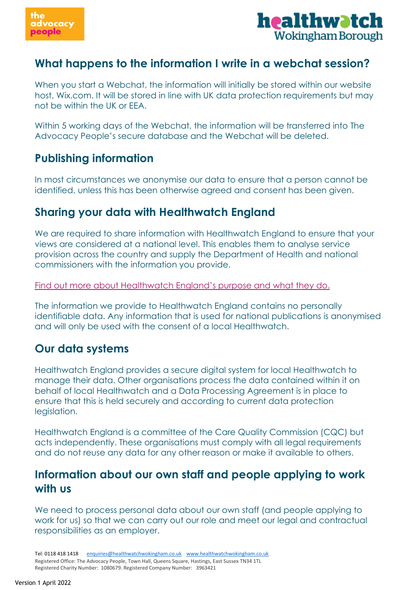

#### **What happens to the information I write in a webchat session?**

When you start a Webchat, the information will initially be stored within our website host, Wix.com. It will be stored in line with UK data protection requirements but may not be within the UK or EEA.

Within 5 working days of the Webchat, the information will be transferred into The Advocacy People's secure database and the Webchat will be deleted.

## **Publishing information**

In most circumstances we anonymise our data to ensure that a person cannot be identified, unless this has been otherwise agreed and consent has been given.

## **Sharing your data with Healthwatch England**

We are required to share information with Healthwatch England to ensure that your views are considered at a national level. This enables them to analyse service provision across the country and supply the Department of Health and national commissioners with the information you provide.

[Find out more about Healthwatch England's purpose and what they do.](https://www.healthwatch.co.uk/about-us)

The information we provide to Healthwatch England contains no personally identifiable data. Any information that is used for national publications is anonymised and will only be used with the consent of a local Healthwatch.

#### **Our data systems**

Healthwatch England provides a secure digital system for local Healthwatch to manage their data. Other organisations process the data contained within it on behalf of local Healthwatch and a Data Processing Agreement is in place to ensure that this is held securely and according to current data protection legislation.

Healthwatch England is a committee of the Care Quality Commission (CQC) but acts independently. These organisations must comply with all legal requirements and do not reuse any data for any other reason or make it available to others.

## **Information about our own staff and people applying to work with us**

We need to process personal data about our own staff (and people applying to work for us) so that we can carry out our role and meet our legal and contractual responsibilities as an employer.

Tel: 0118 418 1418 enquiries@healthwatchwokingham.co.uk www.healthwatchwokingham.co.uk Registered Office: The Advocacy People, Town Hall, Queens Square, Hastings, East Sussex TN34 1TL Registered Charity Number: 1080679. Registered Company Number: 3963421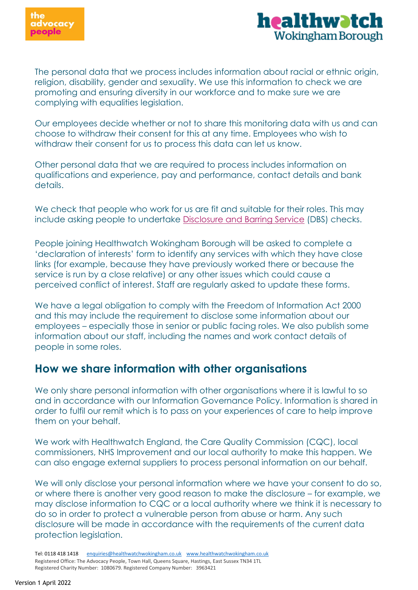

The personal data that we process includes information about racial or ethnic origin, religion, disability, gender and sexuality. We use this information to check we are promoting and ensuring diversity in our workforce and to make sure we are complying with equalities legislation.

Our employees decide whether or not to share this monitoring data with us and can choose to withdraw their consent for this at any time. Employees who wish to withdraw their consent for us to process this data can let us know.

Other personal data that we are required to process includes information on qualifications and experience, pay and performance, contact details and bank details.

We check that people who work for us are fit and suitable for their roles. This may include asking people to undertake [Disclosure and Barring Service](https://www.gov.uk/government/organisations/disclosure-and-barring-service) (DBS) checks.

People joining Healthwatch Wokingham Borough will be asked to complete a 'declaration of interests' form to identify any services with which they have close links (for example, because they have previously worked there or because the service is run by a close relative) or any other issues which could cause a perceived conflict of interest. Staff are regularly asked to update these forms.

We have a legal obligation to comply with the Freedom of Information Act 2000 and this may include the requirement to disclose some information about our employees – especially those in senior or public facing roles. We also publish some information about our staff, including the names and work contact details of people in some roles.

#### **How we share information with other organisations**

We only share personal information with other organisations where it is lawful to so and in accordance with our Information Governance Policy. Information is shared in order to fulfil our remit which is to pass on your experiences of care to help improve them on your behalf.

We work with Healthwatch England, the Care Quality Commission (CQC), local commissioners, NHS Improvement and our local authority to make this happen. We can also engage external suppliers to process personal information on our behalf.

We will only disclose your personal information where we have your consent to do so, or where there is another very good reason to make the disclosure – for example, we may disclose information to CQC or a local authority where we think it is necessary to do so in order to protect a vulnerable person from abuse or harm. Any such disclosure will be made in accordance with the requirements of the current data protection legislation.

Tel: 0118 418 1418 enquiries@healthwatchwokingham.co.uk www.healthwatchwokingham.co.uk Registered Office: The Advocacy People, Town Hall, Queens Square, Hastings, East Sussex TN34 1TL Registered Charity Number: 1080679. Registered Company Number: 3963421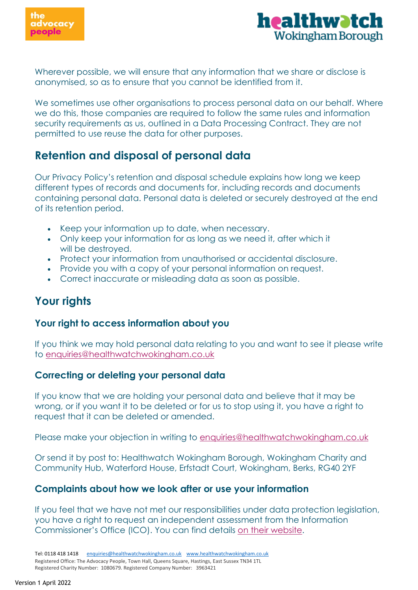

Wherever possible, we will ensure that any information that we share or disclose is anonymised, so as to ensure that you cannot be identified from it.

We sometimes use other organisations to process personal data on our behalf. Where we do this, those companies are required to follow the same rules and information security requirements as us, outlined in a Data Processing Contract. They are not permitted to use reuse the data for other purposes.

## **Retention and disposal of personal data**

Our Privacy Policy's retention and disposal schedule explains how long we keep different types of records and documents for, including records and documents containing personal data. Personal data is deleted or securely destroyed at the end of its retention period.

- Keep your information up to date, when necessary.
- Only keep your information for as long as we need it, after which it will be destroyed.
- Protect your information from unauthorised or accidental disclosure.
- Provide you with a copy of your personal information on request.
- Correct inaccurate or misleading data as soon as possible.

# **Your rights**

#### **Your right to access information about you**

If you think we may hold personal data relating to you and want to see it please write to [enquiries@healthwatchwokingham.co.uk](mailto:enquiries@healthwatchwokingham.co.uk)

#### **Correcting or deleting your personal data**

If you know that we are holding your personal data and believe that it may be wrong, or if you want it to be deleted or for us to stop using it, you have a right to request that it can be deleted or amended.

Please make your objection in writing to [enquiries@healthwatchwokingham.co.uk](mailto:enquiries@healthwatchwokingham.co.uk)

Or send it by post to: Healthwatch Wokingham Borough, Wokingham Charity and Community Hub, Waterford House, Erfstadt Court, Wokingham, Berks, RG40 2YF

#### **Complaints about how we look after or use your information**

If you feel that we have not met our responsibilities under data protection legislation, you have a right to request an independent assessment from the Information Commissioner's Office (ICO). You can find details [on their website.](http://www.ico.org.uk/)